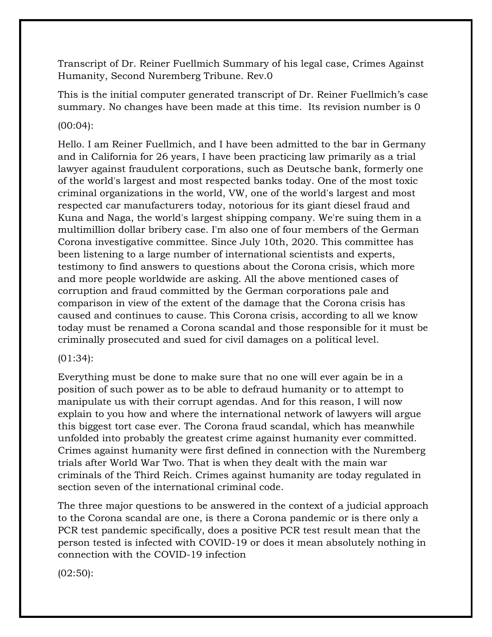Transcript of Dr. Reiner Fuellmich Summary of his legal case, Crimes Against Humanity, Second Nuremberg Tribune. Rev.0

This is the initial computer generated transcript of Dr. Reiner Fuellmich's case summary. No changes have been made at this time. Its revision number is 0

# (00:04):

Hello. I am Reiner Fuellmich, and I have been admitted to the bar in Germany and in California for 26 years, I have been practicing law primarily as a trial lawyer against fraudulent corporations, such as Deutsche bank, formerly one of the world's largest and most respected banks today. One of the most toxic criminal organizations in the world, VW, one of the world's largest and most respected car manufacturers today, notorious for its giant diesel fraud and Kuna and Naga, the world's largest shipping company. We're suing them in a multimillion dollar bribery case. I'm also one of four members of the German Corona investigative committee. Since July 10th, 2020. This committee has been listening to a large number of international scientists and experts, testimony to find answers to questions about the Corona crisis, which more and more people worldwide are asking. All the above mentioned cases of corruption and fraud committed by the German corporations pale and comparison in view of the extent of the damage that the Corona crisis has caused and continues to cause. This Corona crisis, according to all we know today must be renamed a Corona scandal and those responsible for it must be criminally prosecuted and sued for civil damages on a political level.

# (01:34):

Everything must be done to make sure that no one will ever again be in a position of such power as to be able to defraud humanity or to attempt to manipulate us with their corrupt agendas. And for this reason, I will now explain to you how and where the international network of lawyers will argue this biggest tort case ever. The Corona fraud scandal, which has meanwhile unfolded into probably the greatest crime against humanity ever committed. Crimes against humanity were first defined in connection with the Nuremberg trials after World War Two. That is when they dealt with the main war criminals of the Third Reich. Crimes against humanity are today regulated in section seven of the international criminal code.

The three major questions to be answered in the context of a judicial approach to the Corona scandal are one, is there a Corona pandemic or is there only a PCR test pandemic specifically, does a positive PCR test result mean that the person tested is infected with COVID-19 or does it mean absolutely nothing in connection with the COVID-19 infection

(02:50):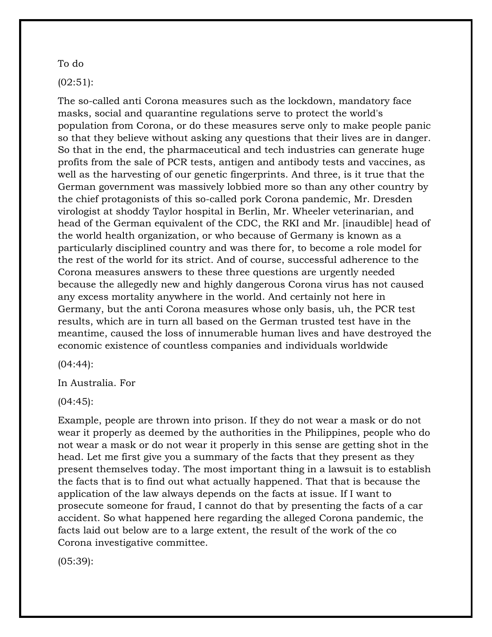#### To do

# (02:51):

The so-called anti Corona measures such as the lockdown, mandatory face masks, social and quarantine regulations serve to protect the world's population from Corona, or do these measures serve only to make people panic so that they believe without asking any questions that their lives are in danger. So that in the end, the pharmaceutical and tech industries can generate huge profits from the sale of PCR tests, antigen and antibody tests and vaccines, as well as the harvesting of our genetic fingerprints. And three, is it true that the German government was massively lobbied more so than any other country by the chief protagonists of this so-called pork Corona pandemic, Mr. Dresden virologist at shoddy Taylor hospital in Berlin, Mr. Wheeler veterinarian, and head of the German equivalent of the CDC, the RKI and Mr. [inaudible] head of the world health organization, or who because of Germany is known as a particularly disciplined country and was there for, to become a role model for the rest of the world for its strict. And of course, successful adherence to the Corona measures answers to these three questions are urgently needed because the allegedly new and highly dangerous Corona virus has not caused any excess mortality anywhere in the world. And certainly not here in Germany, but the anti Corona measures whose only basis, uh, the PCR test results, which are in turn all based on the German trusted test have in the meantime, caused the loss of innumerable human lives and have destroyed the economic existence of countless companies and individuals worldwide

(04:44):

In Australia. For

(04:45):

Example, people are thrown into prison. If they do not wear a mask or do not wear it properly as deemed by the authorities in the Philippines, people who do not wear a mask or do not wear it properly in this sense are getting shot in the head. Let me first give you a summary of the facts that they present as they present themselves today. The most important thing in a lawsuit is to establish the facts that is to find out what actually happened. That that is because the application of the law always depends on the facts at issue. If I want to prosecute someone for fraud, I cannot do that by presenting the facts of a car accident. So what happened here regarding the alleged Corona pandemic, the facts laid out below are to a large extent, the result of the work of the co Corona investigative committee.

(05:39):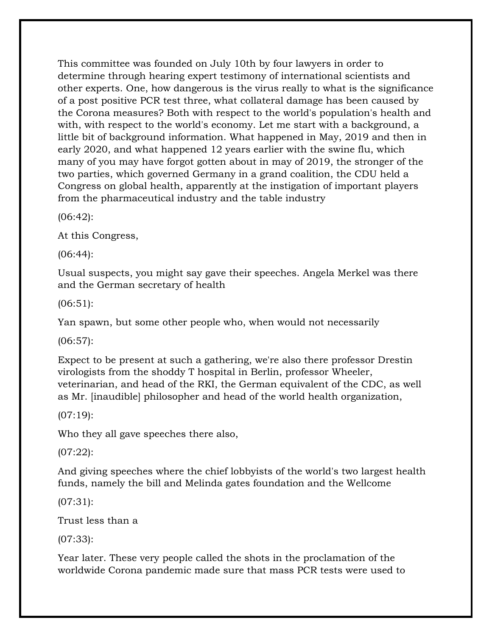This committee was founded on July 10th by four lawyers in order to determine through hearing expert testimony of international scientists and other experts. One, how dangerous is the virus really to what is the significance of a post positive PCR test three, what collateral damage has been caused by the Corona measures? Both with respect to the world's population's health and with, with respect to the world's economy. Let me start with a background, a little bit of background information. What happened in May, 2019 and then in early 2020, and what happened 12 years earlier with the swine flu, which many of you may have forgot gotten about in may of 2019, the stronger of the two parties, which governed Germany in a grand coalition, the CDU held a Congress on global health, apparently at the instigation of important players from the pharmaceutical industry and the table industry

(06:42):

At this Congress,

(06:44):

Usual suspects, you might say gave their speeches. Angela Merkel was there and the German secretary of health

(06:51):

Yan spawn, but some other people who, when would not necessarily

(06:57):

Expect to be present at such a gathering, we're also there professor Drestin virologists from the shoddy T hospital in Berlin, professor Wheeler, veterinarian, and head of the RKI, the German equivalent of the CDC, as well as Mr. [inaudible] philosopher and head of the world health organization,

(07:19):

Who they all gave speeches there also,

(07:22):

And giving speeches where the chief lobbyists of the world's two largest health funds, namely the bill and Melinda gates foundation and the Wellcome

(07:31):

Trust less than a

(07:33):

Year later. These very people called the shots in the proclamation of the worldwide Corona pandemic made sure that mass PCR tests were used to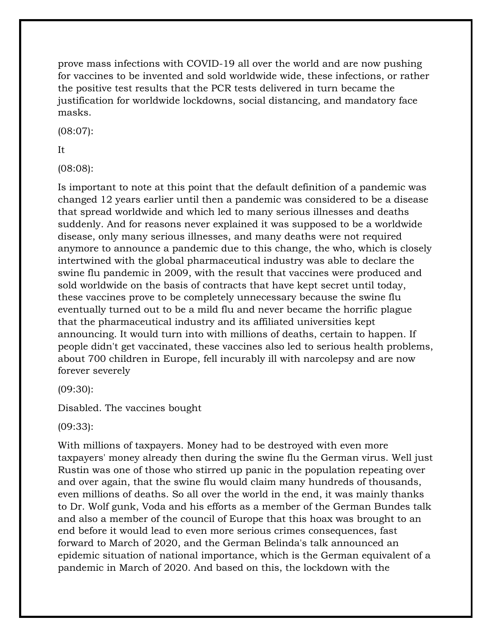prove mass infections with COVID-19 all over the world and are now pushing for vaccines to be invented and sold worldwide wide, these infections, or rather the positive test results that the PCR tests delivered in turn became the justification for worldwide lockdowns, social distancing, and mandatory face masks.

(08:07):

# It

(08:08):

Is important to note at this point that the default definition of a pandemic was changed 12 years earlier until then a pandemic was considered to be a disease that spread worldwide and which led to many serious illnesses and deaths suddenly. And for reasons never explained it was supposed to be a worldwide disease, only many serious illnesses, and many deaths were not required anymore to announce a pandemic due to this change, the who, which is closely intertwined with the global pharmaceutical industry was able to declare the swine flu pandemic in 2009, with the result that vaccines were produced and sold worldwide on the basis of contracts that have kept secret until today, these vaccines prove to be completely unnecessary because the swine flu eventually turned out to be a mild flu and never became the horrific plague that the pharmaceutical industry and its affiliated universities kept announcing. It would turn into with millions of deaths, certain to happen. If people didn't get vaccinated, these vaccines also led to serious health problems, about 700 children in Europe, fell incurably ill with narcolepsy and are now forever severely

(09:30):

Disabled. The vaccines bought

(09:33):

With millions of taxpayers. Money had to be destroyed with even more taxpayers' money already then during the swine flu the German virus. Well just Rustin was one of those who stirred up panic in the population repeating over and over again, that the swine flu would claim many hundreds of thousands, even millions of deaths. So all over the world in the end, it was mainly thanks to Dr. Wolf gunk, Voda and his efforts as a member of the German Bundes talk and also a member of the council of Europe that this hoax was brought to an end before it would lead to even more serious crimes consequences, fast forward to March of 2020, and the German Belinda's talk announced an epidemic situation of national importance, which is the German equivalent of a pandemic in March of 2020. And based on this, the lockdown with the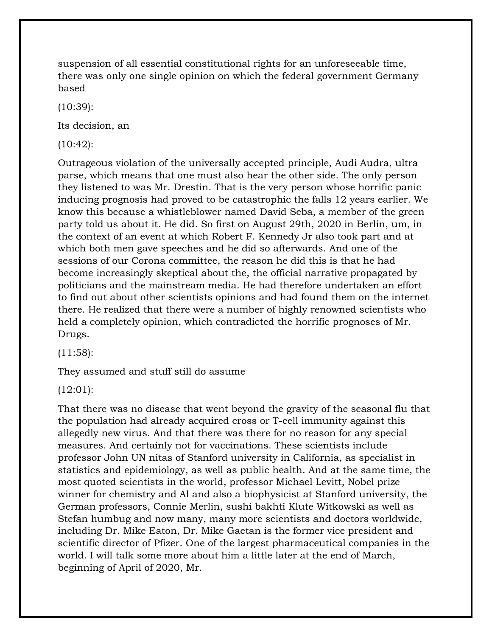suspension of all essential constitutional rights for an unforeseeable time, there was only one single opinion on which the federal government Germany based

(10:39):

Its decision, an

(10:42):

Outrageous violation of the universally accepted principle, Audi Audra, ultra parse, which means that one must also hear the other side. The only person they listened to was Mr. Drestin. That is the very person whose horrific panic inducing prognosis had proved to be catastrophic the falls 12 years earlier. We know this because a whistleblower named David Seba, a member of the green party told us about it. He did. So first on August 29th, 2020 in Berlin, um, in the context of an event at which Robert F. Kennedy Jr also took part and at which both men gave speeches and he did so afterwards. And one of the sessions of our Corona committee, the reason he did this is that he had become increasingly skeptical about the, the official narrative propagated by politicians and the mainstream media. He had therefore undertaken an effort to find out about other scientists opinions and had found them on the internet there. He realized that there were a number of highly renowned scientists who held a completely opinion, which contradicted the horrific prognoses of Mr. Drugs.

 $(11:58)$ :

They assumed and stuff still do assume

(12:01):

That there was no disease that went beyond the gravity of the seasonal flu that the population had already acquired cross or T-cell immunity against this allegedly new virus. And that there was there for no reason for any special measures. And certainly not for vaccinations. These scientists include professor John UN nitas of Stanford university in California, as specialist in statistics and epidemiology, as well as public health. And at the same time, the most quoted scientists in the world, professor Michael Levitt, Nobel prize winner for chemistry and Al and also a biophysicist at Stanford university, the German professors, Connie Merlin, sushi bakhti Klute Witkowski as well as Stefan humbug and now many, many more scientists and doctors worldwide, including Dr. Mike Eaton, Dr. Mike Gaetan is the former vice president and scientific director of Pfizer. One of the largest pharmaceutical companies in the world. I will talk some more about him a little later at the end of March, beginning of April of 2020, Mr.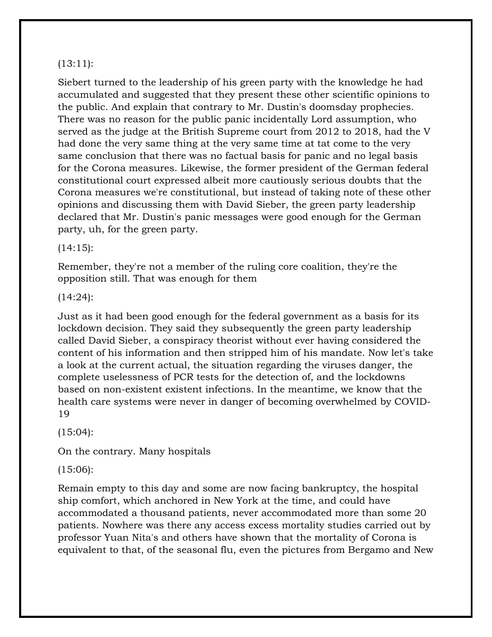### $(13:11)$ :

Siebert turned to the leadership of his green party with the knowledge he had accumulated and suggested that they present these other scientific opinions to the public. And explain that contrary to Mr. Dustin's doomsday prophecies. There was no reason for the public panic incidentally Lord assumption, who served as the judge at the British Supreme court from 2012 to 2018, had the V had done the very same thing at the very same time at tat come to the very same conclusion that there was no factual basis for panic and no legal basis for the Corona measures. Likewise, the former president of the German federal constitutional court expressed albeit more cautiously serious doubts that the Corona measures we're constitutional, but instead of taking note of these other opinions and discussing them with David Sieber, the green party leadership declared that Mr. Dustin's panic messages were good enough for the German party, uh, for the green party.

 $(14:15):$ 

Remember, they're not a member of the ruling core coalition, they're the opposition still. That was enough for them

(14:24):

Just as it had been good enough for the federal government as a basis for its lockdown decision. They said they subsequently the green party leadership called David Sieber, a conspiracy theorist without ever having considered the content of his information and then stripped him of his mandate. Now let's take a look at the current actual, the situation regarding the viruses danger, the complete uselessness of PCR tests for the detection of, and the lockdowns based on non-existent existent infections. In the meantime, we know that the health care systems were never in danger of becoming overwhelmed by COVID-19

 $(15:04)$ :

On the contrary. Many hospitals

(15:06):

Remain empty to this day and some are now facing bankruptcy, the hospital ship comfort, which anchored in New York at the time, and could have accommodated a thousand patients, never accommodated more than some 20 patients. Nowhere was there any access excess mortality studies carried out by professor Yuan Nita's and others have shown that the mortality of Corona is equivalent to that, of the seasonal flu, even the pictures from Bergamo and New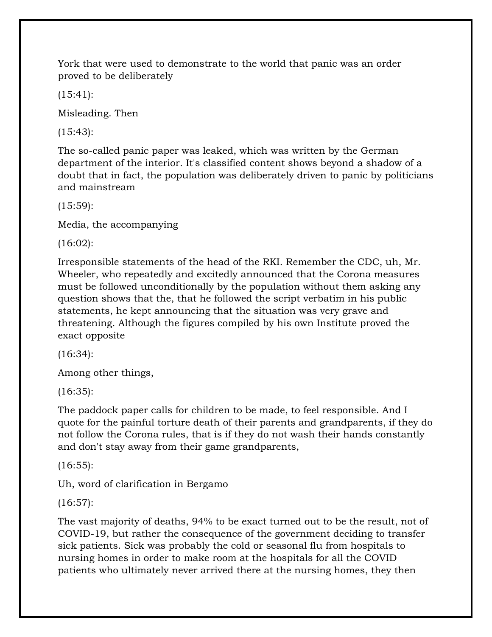York that were used to demonstrate to the world that panic was an order proved to be deliberately

(15:41):

Misleading. Then

(15:43):

The so-called panic paper was leaked, which was written by the German department of the interior. It's classified content shows beyond a shadow of a doubt that in fact, the population was deliberately driven to panic by politicians and mainstream

(15:59):

Media, the accompanying

(16:02):

Irresponsible statements of the head of the RKI. Remember the CDC, uh, Mr. Wheeler, who repeatedly and excitedly announced that the Corona measures must be followed unconditionally by the population without them asking any question shows that the, that he followed the script verbatim in his public statements, he kept announcing that the situation was very grave and threatening. Although the figures compiled by his own Institute proved the exact opposite

(16:34):

Among other things,

(16:35):

The paddock paper calls for children to be made, to feel responsible. And I quote for the painful torture death of their parents and grandparents, if they do not follow the Corona rules, that is if they do not wash their hands constantly and don't stay away from their game grandparents,

(16:55):

Uh, word of clarification in Bergamo

(16:57):

The vast majority of deaths, 94% to be exact turned out to be the result, not of COVID-19, but rather the consequence of the government deciding to transfer sick patients. Sick was probably the cold or seasonal flu from hospitals to nursing homes in order to make room at the hospitals for all the COVID patients who ultimately never arrived there at the nursing homes, they then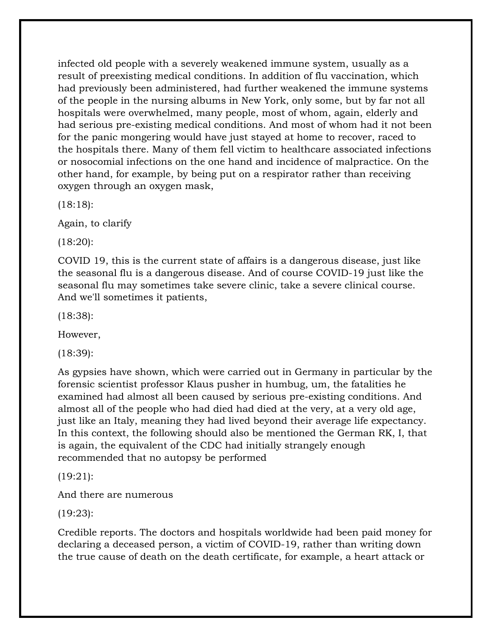infected old people with a severely weakened immune system, usually as a result of preexisting medical conditions. In addition of flu vaccination, which had previously been administered, had further weakened the immune systems of the people in the nursing albums in New York, only some, but by far not all hospitals were overwhelmed, many people, most of whom, again, elderly and had serious pre-existing medical conditions. And most of whom had it not been for the panic mongering would have just stayed at home to recover, raced to the hospitals there. Many of them fell victim to healthcare associated infections or nosocomial infections on the one hand and incidence of malpractice. On the other hand, for example, by being put on a respirator rather than receiving oxygen through an oxygen mask,

(18:18):

Again, to clarify

(18:20):

COVID 19, this is the current state of affairs is a dangerous disease, just like the seasonal flu is a dangerous disease. And of course COVID-19 just like the seasonal flu may sometimes take severe clinic, take a severe clinical course. And we'll sometimes it patients,

(18:38):

However,

(18:39):

As gypsies have shown, which were carried out in Germany in particular by the forensic scientist professor Klaus pusher in humbug, um, the fatalities he examined had almost all been caused by serious pre-existing conditions. And almost all of the people who had died had died at the very, at a very old age, just like an Italy, meaning they had lived beyond their average life expectancy. In this context, the following should also be mentioned the German RK, I, that is again, the equivalent of the CDC had initially strangely enough recommended that no autopsy be performed

(19:21):

And there are numerous

(19:23):

Credible reports. The doctors and hospitals worldwide had been paid money for declaring a deceased person, a victim of COVID-19, rather than writing down the true cause of death on the death certificate, for example, a heart attack or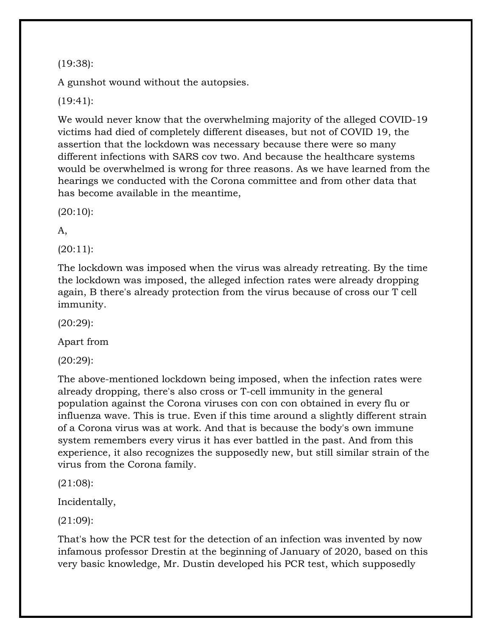(19:38):

A gunshot wound without the autopsies.

(19:41):

We would never know that the overwhelming majority of the alleged COVID-19 victims had died of completely different diseases, but not of COVID 19, the assertion that the lockdown was necessary because there were so many different infections with SARS cov two. And because the healthcare systems would be overwhelmed is wrong for three reasons. As we have learned from the hearings we conducted with the Corona committee and from other data that has become available in the meantime,

(20:10):

A,

(20:11):

The lockdown was imposed when the virus was already retreating. By the time the lockdown was imposed, the alleged infection rates were already dropping again, B there's already protection from the virus because of cross our T cell immunity.

(20:29):

Apart from

(20:29):

The above-mentioned lockdown being imposed, when the infection rates were already dropping, there's also cross or T-cell immunity in the general population against the Corona viruses con con con obtained in every flu or influenza wave. This is true. Even if this time around a slightly different strain of a Corona virus was at work. And that is because the body's own immune system remembers every virus it has ever battled in the past. And from this experience, it also recognizes the supposedly new, but still similar strain of the virus from the Corona family.

(21:08):

Incidentally,

(21:09):

That's how the PCR test for the detection of an infection was invented by now infamous professor Drestin at the beginning of January of 2020, based on this very basic knowledge, Mr. Dustin developed his PCR test, which supposedly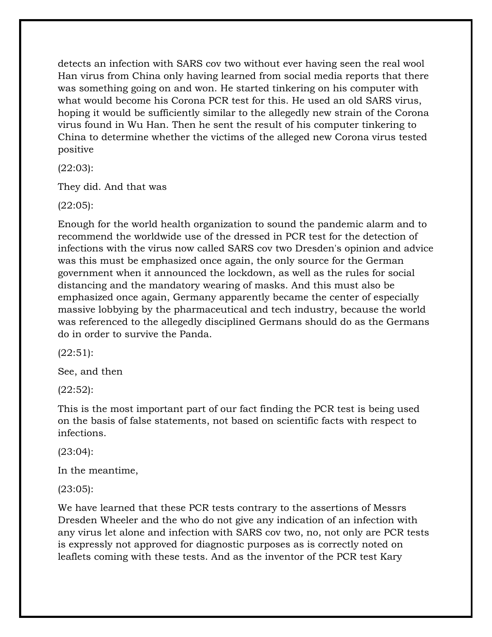detects an infection with SARS cov two without ever having seen the real wool Han virus from China only having learned from social media reports that there was something going on and won. He started tinkering on his computer with what would become his Corona PCR test for this. He used an old SARS virus, hoping it would be sufficiently similar to the allegedly new strain of the Corona virus found in Wu Han. Then he sent the result of his computer tinkering to China to determine whether the victims of the alleged new Corona virus tested positive

(22:03):

They did. And that was

(22:05):

Enough for the world health organization to sound the pandemic alarm and to recommend the worldwide use of the dressed in PCR test for the detection of infections with the virus now called SARS cov two Dresden's opinion and advice was this must be emphasized once again, the only source for the German government when it announced the lockdown, as well as the rules for social distancing and the mandatory wearing of masks. And this must also be emphasized once again, Germany apparently became the center of especially massive lobbying by the pharmaceutical and tech industry, because the world was referenced to the allegedly disciplined Germans should do as the Germans do in order to survive the Panda.

 $(22:51)$ :

See, and then

(22:52):

This is the most important part of our fact finding the PCR test is being used on the basis of false statements, not based on scientific facts with respect to infections.

(23:04):

In the meantime,

(23:05):

We have learned that these PCR tests contrary to the assertions of Messrs Dresden Wheeler and the who do not give any indication of an infection with any virus let alone and infection with SARS cov two, no, not only are PCR tests is expressly not approved for diagnostic purposes as is correctly noted on leaflets coming with these tests. And as the inventor of the PCR test Kary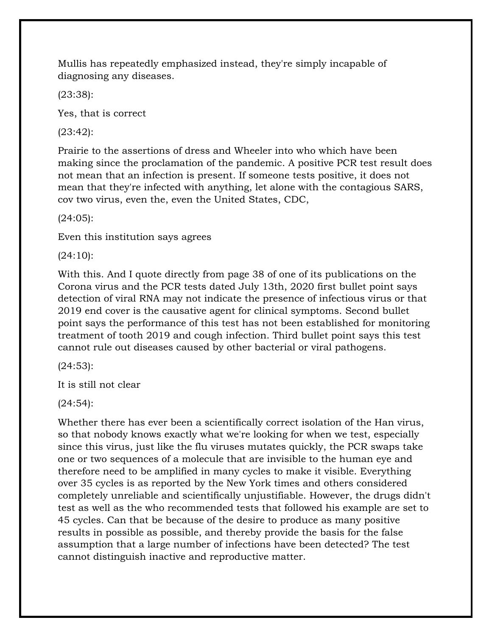Mullis has repeatedly emphasized instead, they're simply incapable of diagnosing any diseases.

(23:38):

Yes, that is correct

(23:42):

Prairie to the assertions of dress and Wheeler into who which have been making since the proclamation of the pandemic. A positive PCR test result does not mean that an infection is present. If someone tests positive, it does not mean that they're infected with anything, let alone with the contagious SARS, cov two virus, even the, even the United States, CDC,

(24:05):

Even this institution says agrees

(24:10):

With this. And I quote directly from page 38 of one of its publications on the Corona virus and the PCR tests dated July 13th, 2020 first bullet point says detection of viral RNA may not indicate the presence of infectious virus or that 2019 end cover is the causative agent for clinical symptoms. Second bullet point says the performance of this test has not been established for monitoring treatment of tooth 2019 and cough infection. Third bullet point says this test cannot rule out diseases caused by other bacterial or viral pathogens.

(24:53):

It is still not clear

(24:54):

Whether there has ever been a scientifically correct isolation of the Han virus, so that nobody knows exactly what we're looking for when we test, especially since this virus, just like the flu viruses mutates quickly, the PCR swaps take one or two sequences of a molecule that are invisible to the human eye and therefore need to be amplified in many cycles to make it visible. Everything over 35 cycles is as reported by the New York times and others considered completely unreliable and scientifically unjustifiable. However, the drugs didn't test as well as the who recommended tests that followed his example are set to 45 cycles. Can that be because of the desire to produce as many positive results in possible as possible, and thereby provide the basis for the false assumption that a large number of infections have been detected? The test cannot distinguish inactive and reproductive matter.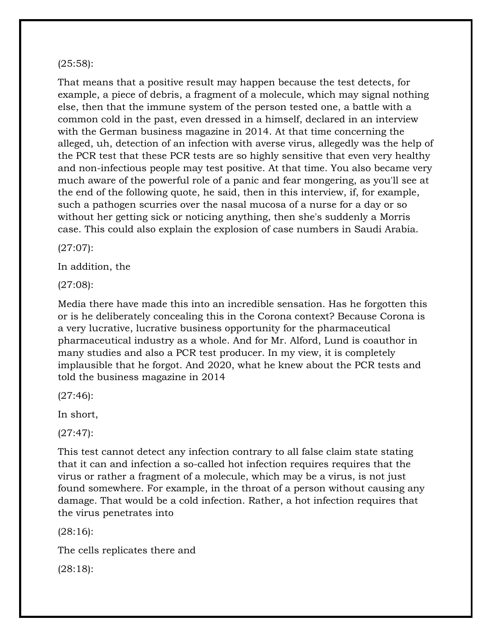#### (25:58):

That means that a positive result may happen because the test detects, for example, a piece of debris, a fragment of a molecule, which may signal nothing else, then that the immune system of the person tested one, a battle with a common cold in the past, even dressed in a himself, declared in an interview with the German business magazine in 2014. At that time concerning the alleged, uh, detection of an infection with averse virus, allegedly was the help of the PCR test that these PCR tests are so highly sensitive that even very healthy and non-infectious people may test positive. At that time. You also became very much aware of the powerful role of a panic and fear mongering, as you'll see at the end of the following quote, he said, then in this interview, if, for example, such a pathogen scurries over the nasal mucosa of a nurse for a day or so without her getting sick or noticing anything, then she's suddenly a Morris case. This could also explain the explosion of case numbers in Saudi Arabia.

(27:07):

In addition, the

(27:08):

Media there have made this into an incredible sensation. Has he forgotten this or is he deliberately concealing this in the Corona context? Because Corona is a very lucrative, lucrative business opportunity for the pharmaceutical pharmaceutical industry as a whole. And for Mr. Alford, Lund is coauthor in many studies and also a PCR test producer. In my view, it is completely implausible that he forgot. And 2020, what he knew about the PCR tests and told the business magazine in 2014

(27:46):

In short,

(27:47):

This test cannot detect any infection contrary to all false claim state stating that it can and infection a so-called hot infection requires requires that the virus or rather a fragment of a molecule, which may be a virus, is not just found somewhere. For example, in the throat of a person without causing any damage. That would be a cold infection. Rather, a hot infection requires that the virus penetrates into

(28:16):

The cells replicates there and

(28:18):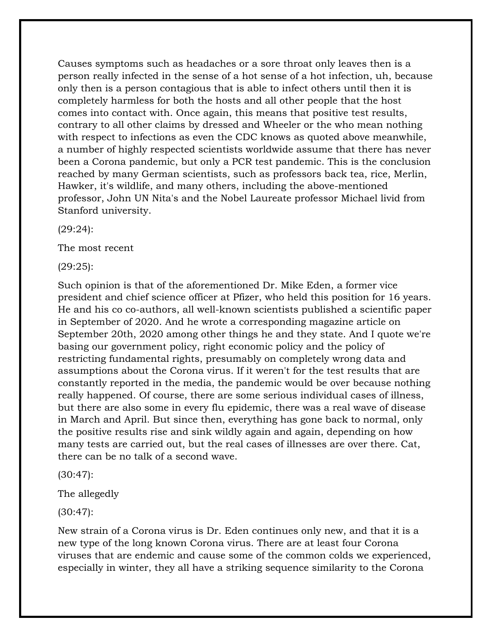Causes symptoms such as headaches or a sore throat only leaves then is a person really infected in the sense of a hot sense of a hot infection, uh, because only then is a person contagious that is able to infect others until then it is completely harmless for both the hosts and all other people that the host comes into contact with. Once again, this means that positive test results, contrary to all other claims by dressed and Wheeler or the who mean nothing with respect to infections as even the CDC knows as quoted above meanwhile, a number of highly respected scientists worldwide assume that there has never been a Corona pandemic, but only a PCR test pandemic. This is the conclusion reached by many German scientists, such as professors back tea, rice, Merlin, Hawker, it's wildlife, and many others, including the above-mentioned professor, John UN Nita's and the Nobel Laureate professor Michael livid from Stanford university.

(29:24):

The most recent

(29:25):

Such opinion is that of the aforementioned Dr. Mike Eden, a former vice president and chief science officer at Pfizer, who held this position for 16 years. He and his co co-authors, all well-known scientists published a scientific paper in September of 2020. And he wrote a corresponding magazine article on September 20th, 2020 among other things he and they state. And I quote we're basing our government policy, right economic policy and the policy of restricting fundamental rights, presumably on completely wrong data and assumptions about the Corona virus. If it weren't for the test results that are constantly reported in the media, the pandemic would be over because nothing really happened. Of course, there are some serious individual cases of illness, but there are also some in every flu epidemic, there was a real wave of disease in March and April. But since then, everything has gone back to normal, only the positive results rise and sink wildly again and again, depending on how many tests are carried out, but the real cases of illnesses are over there. Cat, there can be no talk of a second wave.

(30:47):

The allegedly

(30:47):

New strain of a Corona virus is Dr. Eden continues only new, and that it is a new type of the long known Corona virus. There are at least four Corona viruses that are endemic and cause some of the common colds we experienced, especially in winter, they all have a striking sequence similarity to the Corona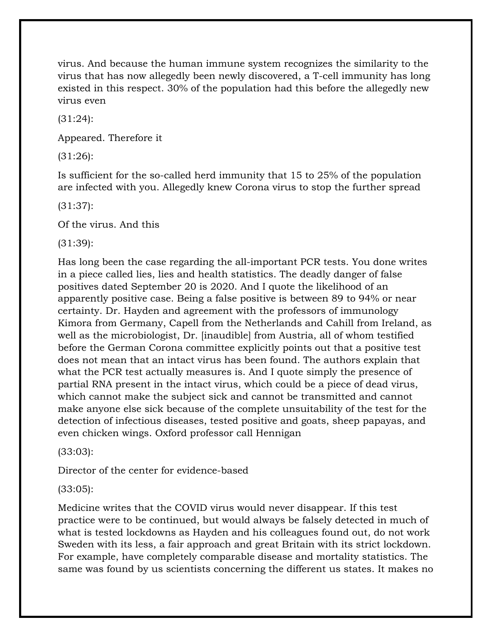virus. And because the human immune system recognizes the similarity to the virus that has now allegedly been newly discovered, a T-cell immunity has long existed in this respect. 30% of the population had this before the allegedly new virus even

(31:24):

Appeared. Therefore it

(31:26):

Is sufficient for the so-called herd immunity that 15 to 25% of the population are infected with you. Allegedly knew Corona virus to stop the further spread

(31:37):

Of the virus. And this

(31:39):

Has long been the case regarding the all-important PCR tests. You done writes in a piece called lies, lies and health statistics. The deadly danger of false positives dated September 20 is 2020. And I quote the likelihood of an apparently positive case. Being a false positive is between 89 to 94% or near certainty. Dr. Hayden and agreement with the professors of immunology Kimora from Germany, Capell from the Netherlands and Cahill from Ireland, as well as the microbiologist, Dr. [inaudible] from Austria, all of whom testified before the German Corona committee explicitly points out that a positive test does not mean that an intact virus has been found. The authors explain that what the PCR test actually measures is. And I quote simply the presence of partial RNA present in the intact virus, which could be a piece of dead virus, which cannot make the subject sick and cannot be transmitted and cannot make anyone else sick because of the complete unsuitability of the test for the detection of infectious diseases, tested positive and goats, sheep papayas, and even chicken wings. Oxford professor call Hennigan

(33:03):

Director of the center for evidence-based

(33:05):

Medicine writes that the COVID virus would never disappear. If this test practice were to be continued, but would always be falsely detected in much of what is tested lockdowns as Hayden and his colleagues found out, do not work Sweden with its less, a fair approach and great Britain with its strict lockdown. For example, have completely comparable disease and mortality statistics. The same was found by us scientists concerning the different us states. It makes no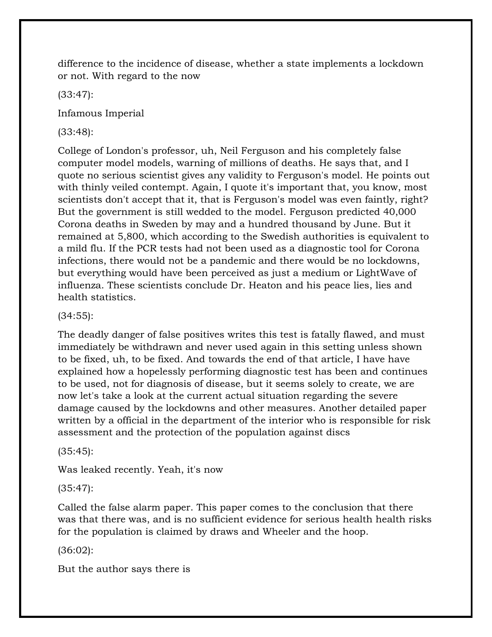difference to the incidence of disease, whether a state implements a lockdown or not. With regard to the now

(33:47):

Infamous Imperial

(33:48):

College of London's professor, uh, Neil Ferguson and his completely false computer model models, warning of millions of deaths. He says that, and I quote no serious scientist gives any validity to Ferguson's model. He points out with thinly veiled contempt. Again, I quote it's important that, you know, most scientists don't accept that it, that is Ferguson's model was even faintly, right? But the government is still wedded to the model. Ferguson predicted 40,000 Corona deaths in Sweden by may and a hundred thousand by June. But it remained at 5,800, which according to the Swedish authorities is equivalent to a mild flu. If the PCR tests had not been used as a diagnostic tool for Corona infections, there would not be a pandemic and there would be no lockdowns, but everything would have been perceived as just a medium or LightWave of influenza. These scientists conclude Dr. Heaton and his peace lies, lies and health statistics.

# (34:55):

The deadly danger of false positives writes this test is fatally flawed, and must immediately be withdrawn and never used again in this setting unless shown to be fixed, uh, to be fixed. And towards the end of that article, I have have explained how a hopelessly performing diagnostic test has been and continues to be used, not for diagnosis of disease, but it seems solely to create, we are now let's take a look at the current actual situation regarding the severe damage caused by the lockdowns and other measures. Another detailed paper written by a official in the department of the interior who is responsible for risk assessment and the protection of the population against discs

(35:45):

Was leaked recently. Yeah, it's now

(35:47):

Called the false alarm paper. This paper comes to the conclusion that there was that there was, and is no sufficient evidence for serious health health risks for the population is claimed by draws and Wheeler and the hoop.

(36:02):

But the author says there is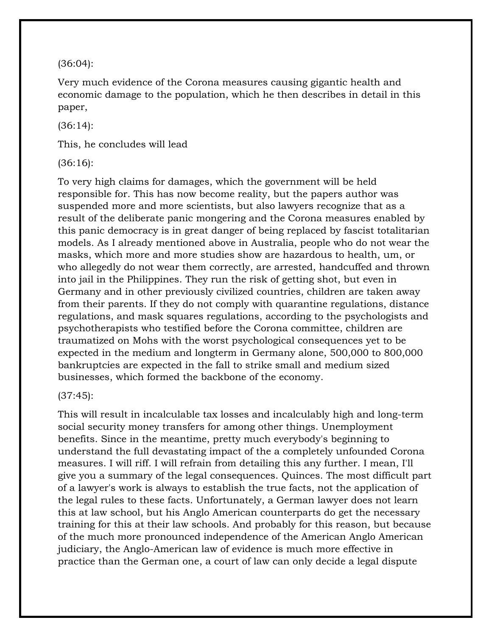(36:04):

Very much evidence of the Corona measures causing gigantic health and economic damage to the population, which he then describes in detail in this paper,

(36:14):

This, he concludes will lead

(36:16):

To very high claims for damages, which the government will be held responsible for. This has now become reality, but the papers author was suspended more and more scientists, but also lawyers recognize that as a result of the deliberate panic mongering and the Corona measures enabled by this panic democracy is in great danger of being replaced by fascist totalitarian models. As I already mentioned above in Australia, people who do not wear the masks, which more and more studies show are hazardous to health, um, or who allegedly do not wear them correctly, are arrested, handcuffed and thrown into jail in the Philippines. They run the risk of getting shot, but even in Germany and in other previously civilized countries, children are taken away from their parents. If they do not comply with quarantine regulations, distance regulations, and mask squares regulations, according to the psychologists and psychotherapists who testified before the Corona committee, children are traumatized on Mohs with the worst psychological consequences yet to be expected in the medium and longterm in Germany alone, 500,000 to 800,000 bankruptcies are expected in the fall to strike small and medium sized businesses, which formed the backbone of the economy.

#### (37:45):

This will result in incalculable tax losses and incalculably high and long-term social security money transfers for among other things. Unemployment benefits. Since in the meantime, pretty much everybody's beginning to understand the full devastating impact of the a completely unfounded Corona measures. I will riff. I will refrain from detailing this any further. I mean, I'll give you a summary of the legal consequences. Quinces. The most difficult part of a lawyer's work is always to establish the true facts, not the application of the legal rules to these facts. Unfortunately, a German lawyer does not learn this at law school, but his Anglo American counterparts do get the necessary training for this at their law schools. And probably for this reason, but because of the much more pronounced independence of the American Anglo American judiciary, the Anglo-American law of evidence is much more effective in practice than the German one, a court of law can only decide a legal dispute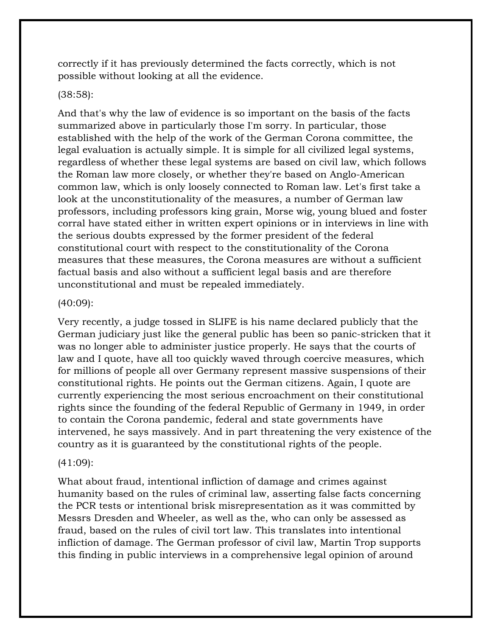correctly if it has previously determined the facts correctly, which is not possible without looking at all the evidence.

# (38:58):

And that's why the law of evidence is so important on the basis of the facts summarized above in particularly those I'm sorry. In particular, those established with the help of the work of the German Corona committee, the legal evaluation is actually simple. It is simple for all civilized legal systems, regardless of whether these legal systems are based on civil law, which follows the Roman law more closely, or whether they're based on Anglo-American common law, which is only loosely connected to Roman law. Let's first take a look at the unconstitutionality of the measures, a number of German law professors, including professors king grain, Morse wig, young blued and foster corral have stated either in written expert opinions or in interviews in line with the serious doubts expressed by the former president of the federal constitutional court with respect to the constitutionality of the Corona measures that these measures, the Corona measures are without a sufficient factual basis and also without a sufficient legal basis and are therefore unconstitutional and must be repealed immediately.

#### (40:09):

Very recently, a judge tossed in SLIFE is his name declared publicly that the German judiciary just like the general public has been so panic-stricken that it was no longer able to administer justice properly. He says that the courts of law and I quote, have all too quickly waved through coercive measures, which for millions of people all over Germany represent massive suspensions of their constitutional rights. He points out the German citizens. Again, I quote are currently experiencing the most serious encroachment on their constitutional rights since the founding of the federal Republic of Germany in 1949, in order to contain the Corona pandemic, federal and state governments have intervened, he says massively. And in part threatening the very existence of the country as it is guaranteed by the constitutional rights of the people.

# (41:09):

What about fraud, intentional infliction of damage and crimes against humanity based on the rules of criminal law, asserting false facts concerning the PCR tests or intentional brisk misrepresentation as it was committed by Messrs Dresden and Wheeler, as well as the, who can only be assessed as fraud, based on the rules of civil tort law. This translates into intentional infliction of damage. The German professor of civil law, Martin Trop supports this finding in public interviews in a comprehensive legal opinion of around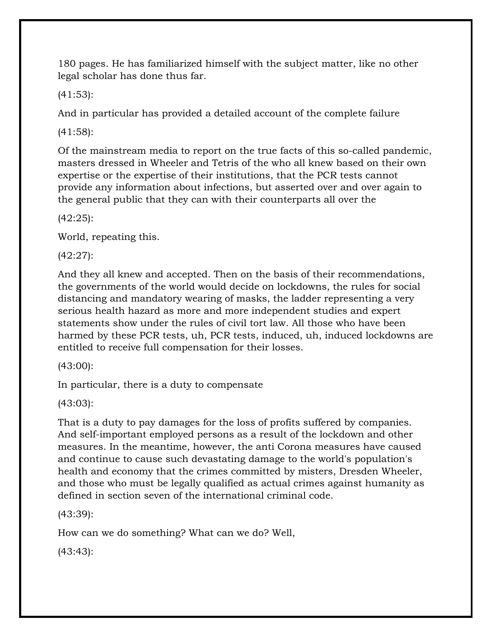180 pages. He has familiarized himself with the subject matter, like no other legal scholar has done thus far.

(41:53):

And in particular has provided a detailed account of the complete failure

(41:58):

Of the mainstream media to report on the true facts of this so-called pandemic, masters dressed in Wheeler and Tetris of the who all knew based on their own expertise or the expertise of their institutions, that the PCR tests cannot provide any information about infections, but asserted over and over again to the general public that they can with their counterparts all over the

(42:25):

World, repeating this.

(42:27):

And they all knew and accepted. Then on the basis of their recommendations, the governments of the world would decide on lockdowns, the rules for social distancing and mandatory wearing of masks, the ladder representing a very serious health hazard as more and more independent studies and expert statements show under the rules of civil tort law. All those who have been harmed by these PCR tests, uh, PCR tests, induced, uh, induced lockdowns are entitled to receive full compensation for their losses.

(43:00):

In particular, there is a duty to compensate

(43:03):

That is a duty to pay damages for the loss of profits suffered by companies. And self-important employed persons as a result of the lockdown and other measures. In the meantime, however, the anti Corona measures have caused and continue to cause such devastating damage to the world's population's health and economy that the crimes committed by misters, Dresden Wheeler, and those who must be legally qualified as actual crimes against humanity as defined in section seven of the international criminal code.

(43:39):

How can we do something? What can we do? Well,

(43:43):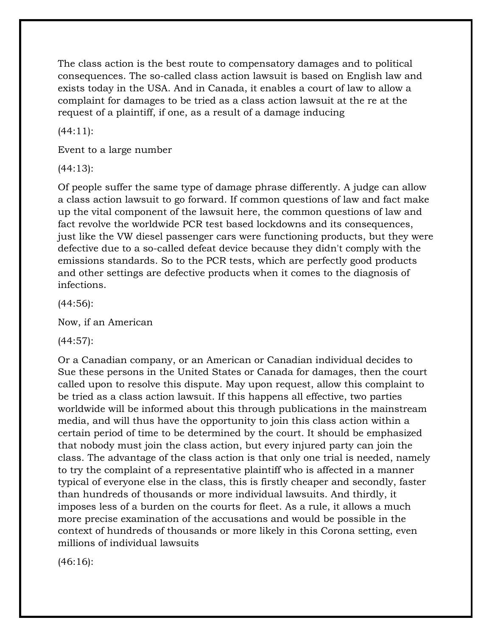The class action is the best route to compensatory damages and to political consequences. The so-called class action lawsuit is based on English law and exists today in the USA. And in Canada, it enables a court of law to allow a complaint for damages to be tried as a class action lawsuit at the re at the request of a plaintiff, if one, as a result of a damage inducing

 $(44:11)$ :

Event to a large number

(44:13):

Of people suffer the same type of damage phrase differently. A judge can allow a class action lawsuit to go forward. If common questions of law and fact make up the vital component of the lawsuit here, the common questions of law and fact revolve the worldwide PCR test based lockdowns and its consequences, just like the VW diesel passenger cars were functioning products, but they were defective due to a so-called defeat device because they didn't comply with the emissions standards. So to the PCR tests, which are perfectly good products and other settings are defective products when it comes to the diagnosis of infections.

(44:56):

Now, if an American

(44:57):

Or a Canadian company, or an American or Canadian individual decides to Sue these persons in the United States or Canada for damages, then the court called upon to resolve this dispute. May upon request, allow this complaint to be tried as a class action lawsuit. If this happens all effective, two parties worldwide will be informed about this through publications in the mainstream media, and will thus have the opportunity to join this class action within a certain period of time to be determined by the court. It should be emphasized that nobody must join the class action, but every injured party can join the class. The advantage of the class action is that only one trial is needed, namely to try the complaint of a representative plaintiff who is affected in a manner typical of everyone else in the class, this is firstly cheaper and secondly, faster than hundreds of thousands or more individual lawsuits. And thirdly, it imposes less of a burden on the courts for fleet. As a rule, it allows a much more precise examination of the accusations and would be possible in the context of hundreds of thousands or more likely in this Corona setting, even millions of individual lawsuits

(46:16):